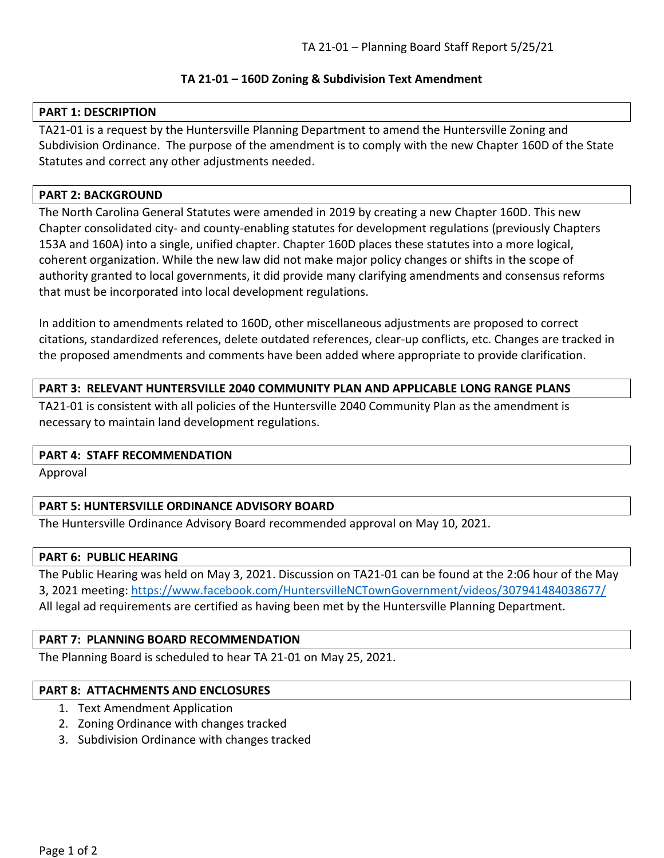## **TA 21-01 – 160D Zoning & Subdivision Text Amendment**

## **PART 1: DESCRIPTION**

TA21-01 is a request by the Huntersville Planning Department to amend the Huntersville Zoning and Subdivision Ordinance. The purpose of the amendment is to comply with the new Chapter 160D of the State Statutes and correct any other adjustments needed.

## **PART 2: BACKGROUND**

The North Carolina General Statutes were amended in 2019 by creating a new Chapter 160D. This new Chapter consolidated city- and county-enabling statutes for development regulations (previously Chapters 153A and 160A) into a single, unified chapter. Chapter 160D places these statutes into a more logical, coherent organization. While the new law did not make major policy changes or shifts in the scope of authority granted to local governments, it did provide many clarifying amendments and consensus reforms that must be incorporated into local development regulations.

In addition to amendments related to 160D, other miscellaneous adjustments are proposed to correct citations, standardized references, delete outdated references, clear-up conflicts, etc. Changes are tracked in the proposed amendments and comments have been added where appropriate to provide clarification.

## **PART 3: RELEVANT HUNTERSVILLE 2040 COMMUNITY PLAN AND APPLICABLE LONG RANGE PLANS**

TA21-01 is consistent with all policies of the Huntersville 2040 Community Plan as the amendment is necessary to maintain land development regulations.

## **PART 4: STAFF RECOMMENDATION**

Approval

## **PART 5: HUNTERSVILLE ORDINANCE ADVISORY BOARD**

The Huntersville Ordinance Advisory Board recommended approval on May 10, 2021.

## **PART 6: PUBLIC HEARING**

The Public Hearing was held on May 3, 2021. Discussion on TA21-01 can be found at the 2:06 hour of the May 3, 2021 meeting:<https://www.facebook.com/HuntersvilleNCTownGovernment/videos/307941484038677/> All legal ad requirements are certified as having been met by the Huntersville Planning Department.

## **PART 7: PLANNING BOARD RECOMMENDATION**

The Planning Board is scheduled to hear TA 21-01 on May 25, 2021.

## **PART 8: ATTACHMENTS AND ENCLOSURES**

- 1. Text Amendment Application
- 2. Zoning Ordinance with changes tracked
- 3. Subdivision Ordinance with changes tracked